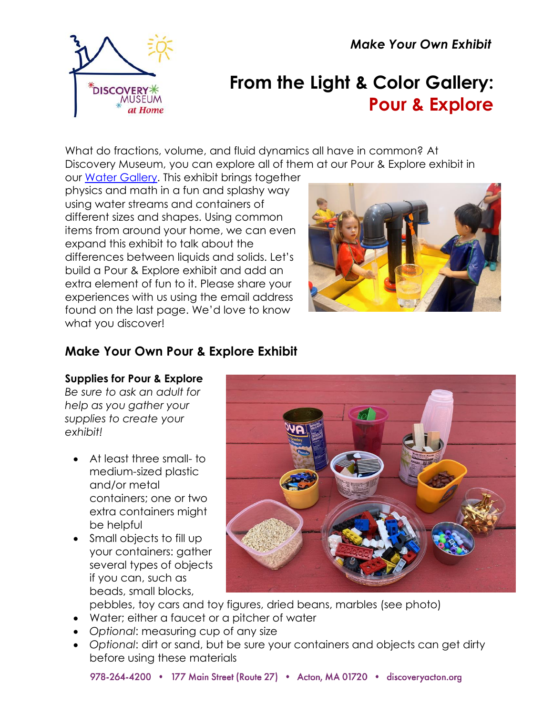*Make Your Own Exhibit*



# **From the Light & Color Gallery: Pour & Explore**

What do fractions, volume, and fluid dynamics all have in common? At Discovery Museum, you can explore all of them at our Pour & Explore exhibit in

our [Water Gallery.](https://www.discoveryacton.org/exhibit/water-gallery) This exhibit brings together physics and math in a fun and splashy way using water streams and containers of different sizes and shapes. Using common items from around your home, we can even expand this exhibit to talk about the differences between liquids and solids. Let's build a Pour & Explore exhibit and add an extra element of fun to it. Please share your experiences with us using the email address found on the last page. We'd love to know what you discover!



# **Make Your Own Pour & Explore Exhibit**

#### **Supplies for Pour & Explore**

*Be sure to ask an adult for help as you gather your supplies to create your exhibit!*

- At least three small- to medium-sized plastic and/or metal containers; one or two extra containers might be helpful
- Small objects to fill up your containers: gather several types of objects if you can, such as beads, small blocks,



pebbles, toy cars and toy figures, dried beans, marbles (see photo)

- Water; either a faucet or a pitcher of water
- *Optional*: measuring cup of any size
- *Optional*: dirt or sand, but be sure your containers and objects can get dirty before using these materials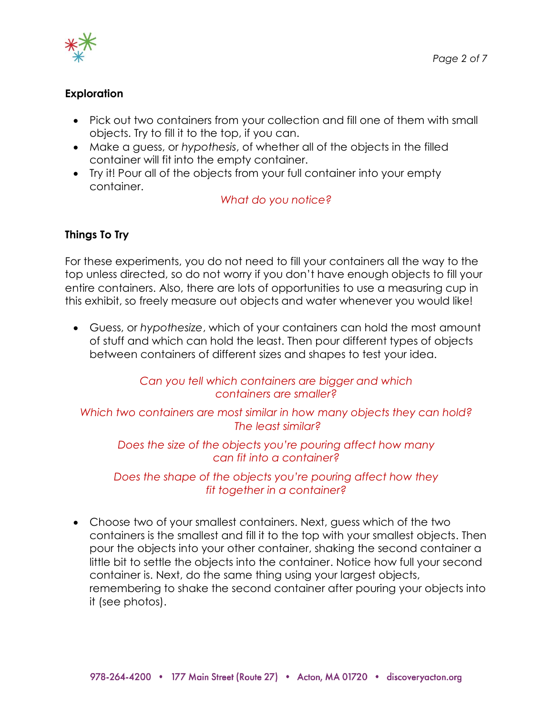

#### **Exploration**

- Pick out two containers from your collection and fill one of them with small objects. Try to fill it to the top, if you can.
- Make a guess, or *hypothesis*, of whether all of the objects in the filled container will fit into the empty container.
- Try it! Pour all of the objects from your full container into your empty container.

#### *What do you notice?*

#### **Things To Try**

For these experiments, you do not need to fill your containers all the way to the top unless directed, so do not worry if you don't have enough objects to fill your entire containers. Also, there are lots of opportunities to use a measuring cup in this exhibit, so freely measure out objects and water whenever you would like!

• Guess, or *hypothesize*, which of your containers can hold the most amount of stuff and which can hold the least. Then pour different types of objects between containers of different sizes and shapes to test your idea.

> *Can you tell which containers are bigger and which containers are smaller?*

*Which two containers are most similar in how many objects they can hold? The least similar?*

*Does the size of the objects you're pouring affect how many can fit into a container?*

*Does the shape of the objects you're pouring affect how they fit together in a container?*

• Choose two of your smallest containers. Next, guess which of the two containers is the smallest and fill it to the top with your smallest objects. Then pour the objects into your other container, shaking the second container a little bit to settle the objects into the container. Notice how full your second container is. Next, do the same thing using your largest objects, remembering to shake the second container after pouring your objects into it (see photos).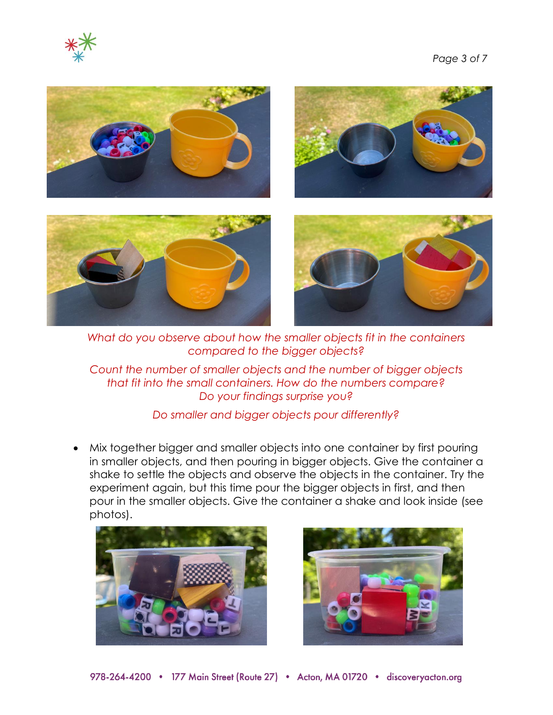



*What do you observe about how the smaller objects fit in the containers compared to the bigger objects?*

*Count the number of smaller objects and the number of bigger objects that fit into the small containers. How do the numbers compare? Do your findings surprise you?*

*Do smaller and bigger objects pour differently?* 

• Mix together bigger and smaller objects into one container by first pouring in smaller objects, and then pouring in bigger objects. Give the container a shake to settle the objects and observe the objects in the container. Try the experiment again, but this time pour the bigger objects in first, and then pour in the smaller objects. Give the container a shake and look inside (see photos).



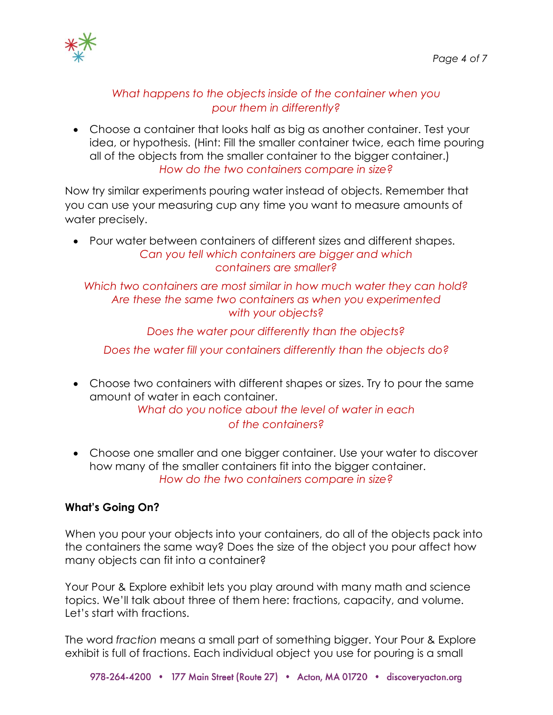

#### *What happens to the objects inside of the container when you pour them in differently?*

• Choose a container that looks half as big as another container. Test your idea, or hypothesis. (Hint: Fill the smaller container twice, each time pouring all of the objects from the smaller container to the bigger container.) *How do the two containers compare in size?*

Now try similar experiments pouring water instead of objects. Remember that you can use your measuring cup any time you want to measure amounts of water precisely.

• Pour water between containers of different sizes and different shapes. *Can you tell which containers are bigger and which containers are smaller?*

*Which two containers are most similar in how much water they can hold? Are these the same two containers as when you experimented with your objects?*

*Does the water pour differently than the objects?*

*Does the water fill your containers differently than the objects do?*

• Choose two containers with different shapes or sizes. Try to pour the same amount of water in each container.

*What do you notice about the level of water in each of the containers?*

• Choose one smaller and one bigger container. Use your water to discover how many of the smaller containers fit into the bigger container. *How do the two containers compare in size?*

#### **What's Going On?**

When you pour your objects into your containers, do all of the objects pack into the containers the same way? Does the size of the object you pour affect how many objects can fit into a container?

Your Pour & Explore exhibit lets you play around with many math and science topics. We'll talk about three of them here: fractions, capacity, and volume. Let's start with fractions.

The word *fraction* means a small part of something bigger. Your Pour & Explore exhibit is full of fractions. Each individual object you use for pouring is a small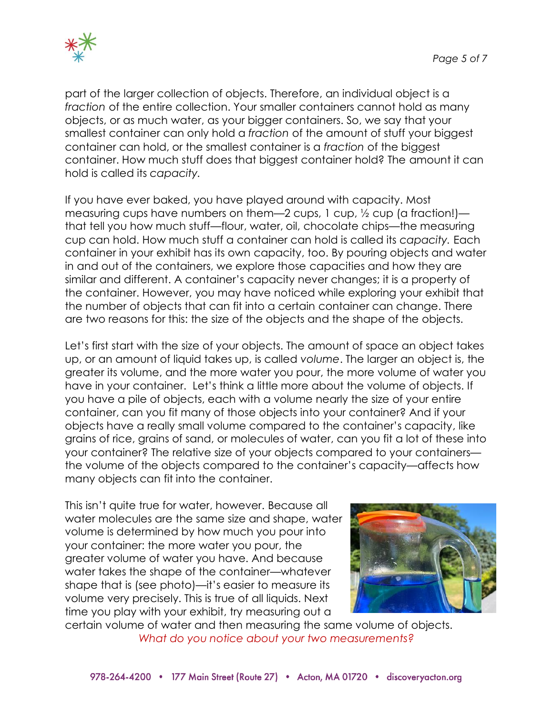

part of the larger collection of objects. Therefore, an individual object is a *fraction* of the entire collection. Your smaller containers cannot hold as many objects, or as much water, as your bigger containers. So, we say that your smallest container can only hold a *fraction* of the amount of stuff your biggest container can hold, or the smallest container is a *fraction* of the biggest container. How much stuff does that biggest container hold? The amount it can hold is called its *capacity.*

If you have ever baked, you have played around with capacity. Most measuring cups have numbers on them—2 cups, 1 cup, ½ cup (a fraction!) that tell you how much stuff—flour, water, oil, chocolate chips—the measuring cup can hold. How much stuff a container can hold is called its *capacity.* Each container in your exhibit has its own capacity, too. By pouring objects and water in and out of the containers, we explore those capacities and how they are similar and different. A container's capacity never changes; it is a property of the container. However, you may have noticed while exploring your exhibit that the number of objects that can fit into a certain container can change. There are two reasons for this: the size of the objects and the shape of the objects.

Let's first start with the size of your objects. The amount of space an object takes up, or an amount of liquid takes up, is called *volume*. The larger an object is, the greater its volume, and the more water you pour, the more volume of water you have in your container. Let's think a little more about the volume of objects. If you have a pile of objects, each with a volume nearly the size of your entire container, can you fit many of those objects into your container? And if your objects have a really small volume compared to the container's capacity, like grains of rice, grains of sand, or molecules of water, can you fit a lot of these into your container? The relative size of your objects compared to your containers the volume of the objects compared to the container's capacity—affects how many objects can fit into the container.

This isn't quite true for water, however. Because all water molecules are the same size and shape, water volume is determined by how much you pour into your container: the more water you pour, the greater volume of water you have. And because water takes the shape of the container—whatever shape that is (see photo)—it's easier to measure its volume very precisely. This is true of all liquids. Next time you play with your exhibit, try measuring out a



certain volume of water and then measuring the same volume of objects. *What do you notice about your two measurements?*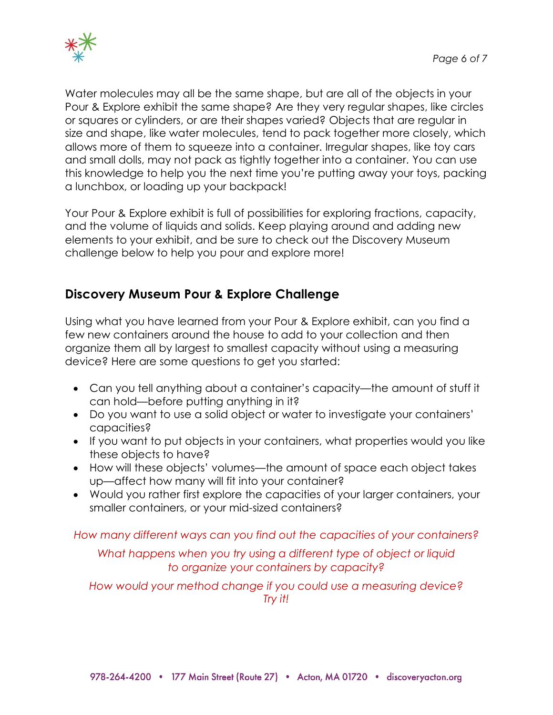

Water molecules may all be the same shape, but are all of the objects in your Pour & Explore exhibit the same shape? Are they very regular shapes, like circles or squares or cylinders, or are their shapes varied? Objects that are regular in size and shape, like water molecules, tend to pack together more closely, which allows more of them to squeeze into a container. Irregular shapes, like toy cars and small dolls, may not pack as tightly together into a container. You can use this knowledge to help you the next time you're putting away your toys, packing a lunchbox, or loading up your backpack!

Your Pour & Explore exhibit is full of possibilities for exploring fractions, capacity, and the volume of liquids and solids. Keep playing around and adding new elements to your exhibit, and be sure to check out the Discovery Museum challenge below to help you pour and explore more!

## **Discovery Museum Pour & Explore Challenge**

Using what you have learned from your Pour & Explore exhibit, can you find a few new containers around the house to add to your collection and then organize them all by largest to smallest capacity without using a measuring device? Here are some questions to get you started:

- Can you tell anything about a container's capacity—the amount of stuff it can hold—before putting anything in it?
- Do you want to use a solid object or water to investigate your containers' capacities?
- If you want to put objects in your containers, what properties would you like these objects to have?
- How will these objects' volumes—the amount of space each object takes up—affect how many will fit into your container?
- Would you rather first explore the capacities of your larger containers, your smaller containers, or your mid-sized containers?

*How many different ways can you find out the capacities of your containers?*

*What happens when you try using a different type of object or liquid to organize your containers by capacity?*

*How would your method change if you could use a measuring device? Try it!*